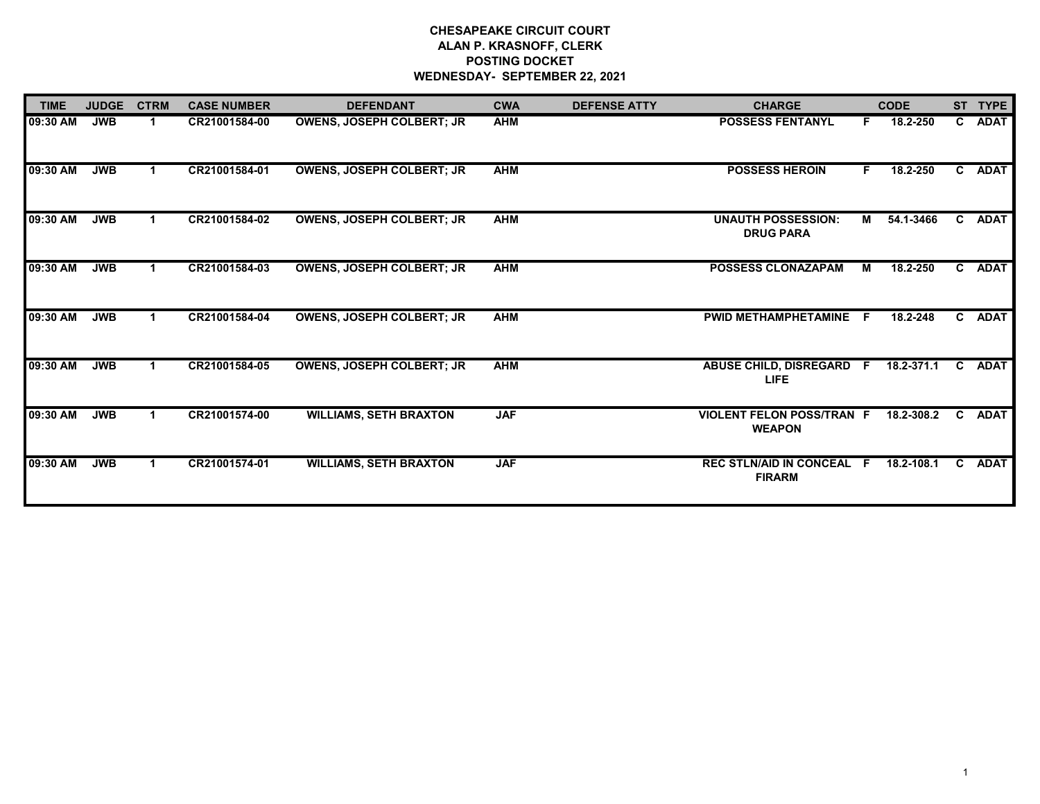## **CHESAPEAKE CIRCUIT COURT ALAN P. KRASNOFF, CLERK POSTING DOCKET WEDNESDAY- SEPTEMBER 22, 2021**

| <b>TIME</b> | <b>JUDGE</b> | <b>CTRM</b>    | <b>CASE NUMBER</b> | <b>DEFENDANT</b>                 | <b>CWA</b> | <b>DEFENSE ATTY</b> | <b>CHARGE</b>                                     |    | <b>CODE</b> |              | ST TYPE     |
|-------------|--------------|----------------|--------------------|----------------------------------|------------|---------------------|---------------------------------------------------|----|-------------|--------------|-------------|
| 09:30 AM    | <b>JWB</b>   | $\overline{1}$ | CR21001584-00      | <b>OWENS, JOSEPH COLBERT; JR</b> | <b>AHM</b> |                     | <b>POSSESS FENTANYL</b>                           | F. | 18.2-250    | $\mathbf{C}$ | <b>ADAT</b> |
| 09:30 AM    | <b>JWB</b>   |                | CR21001584-01      | <b>OWENS, JOSEPH COLBERT; JR</b> | <b>AHM</b> |                     | <b>POSSESS HEROIN</b>                             | F. | 18.2-250    | C            | <b>ADAT</b> |
| 09:30 AM    | <b>JWB</b>   |                | CR21001584-02      | <b>OWENS, JOSEPH COLBERT; JR</b> | <b>AHM</b> |                     | <b>UNAUTH POSSESSION:</b><br><b>DRUG PARA</b>     | М  | 54.1-3466   | C.           | <b>ADAT</b> |
| 09:30 AM    | <b>JWB</b>   |                | CR21001584-03      | <b>OWENS, JOSEPH COLBERT; JR</b> | <b>AHM</b> |                     | <b>POSSESS CLONAZAPAM</b>                         | М  | 18.2-250    | C            | <b>ADAT</b> |
| 09:30 AM    | <b>JWB</b>   |                | CR21001584-04      | <b>OWENS, JOSEPH COLBERT; JR</b> | <b>AHM</b> |                     | <b>PWID METHAMPHETAMINE</b>                       | F. | 18.2-248    | C.           | <b>ADAT</b> |
| 09:30 AM    | <b>JWB</b>   |                | CR21001584-05      | <b>OWENS, JOSEPH COLBERT; JR</b> | <b>AHM</b> |                     | <b>ABUSE CHILD, DISREGARD</b><br>LIFE             | F. | 18.2-371.1  | C.           | <b>ADAT</b> |
| 09:30 AM    | <b>JWB</b>   |                | CR21001574-00      | <b>WILLIAMS, SETH BRAXTON</b>    | <b>JAF</b> |                     | <b>VIOLENT FELON POSS/TRAN F</b><br><b>WEAPON</b> |    | 18.2-308.2  | C.           | <b>ADAT</b> |
| 09:30 AM    | <b>JWB</b>   |                | CR21001574-01      | <b>WILLIAMS, SETH BRAXTON</b>    | <b>JAF</b> |                     | <b>REC STLN/AID IN CONCEAL</b><br><b>FIRARM</b>   | F. | 18.2-108.1  | C.           | <b>ADAT</b> |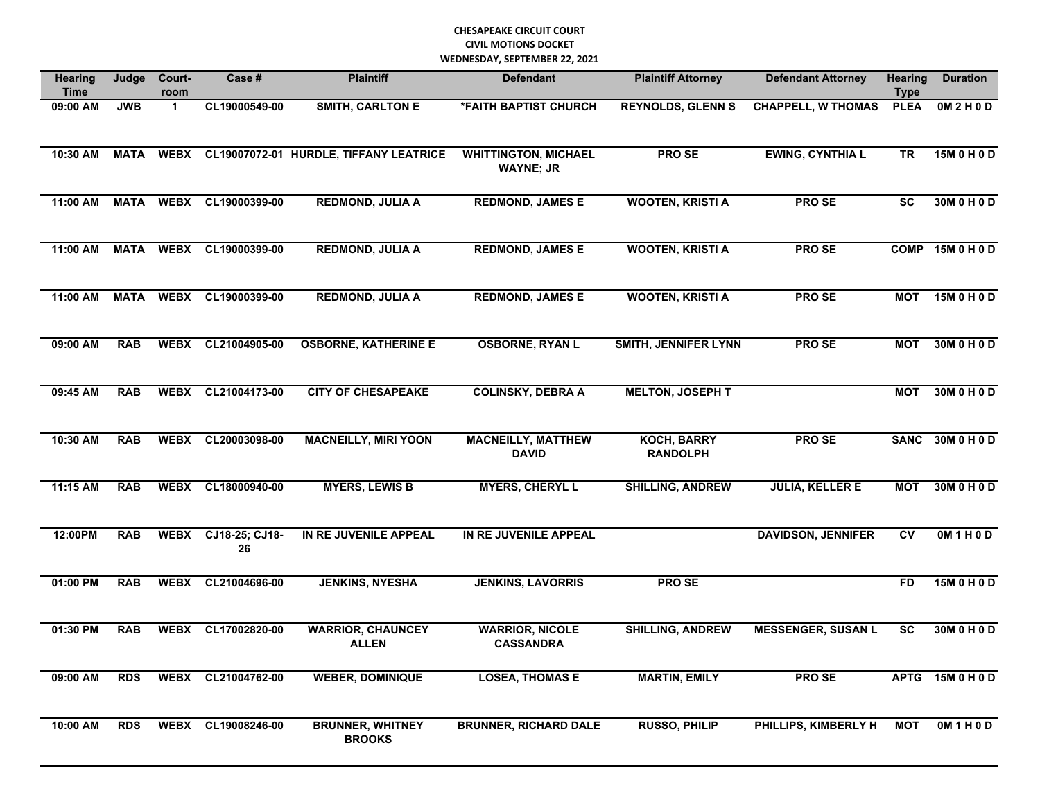## **CHESAPEAKE CIRCUIT COURT CIVIL MOTIONS DOCKET WEDNESDAY, SEPTEMBER 22, 2021**

| <b>Hearing</b><br><b>Time</b> | Judge       | Court-<br>room | Case #               | <b>Plaintiff</b>                         | <b>Defendant</b>                                | <b>Plaintiff Attorney</b>             | <b>Defendant Attorney</b> | <b>Hearing</b><br><b>Type</b> | <b>Duration</b>  |
|-------------------------------|-------------|----------------|----------------------|------------------------------------------|-------------------------------------------------|---------------------------------------|---------------------------|-------------------------------|------------------|
| 09:00 AM                      | <b>JWB</b>  | $\mathbf{1}$   | CL19000549-00        | <b>SMITH, CARLTON E</b>                  | <b><i>*FAITH BAPTIST CHURCH</i></b>             | <b>REYNOLDS, GLENN S</b>              | <b>CHAPPELL, W THOMAS</b> | <b>PLEA</b>                   | OM2H0D           |
| 10:30 AM                      | <b>MATA</b> | <b>WEBX</b>    |                      | CL19007072-01 HURDLE, TIFFANY LEATRICE   | <b>WHITTINGTON, MICHAEL</b><br><b>WAYNE; JR</b> | <b>PROSE</b>                          | <b>EWING, CYNTHIA L</b>   | TR                            | 15M 0 H 0 D      |
| 11:00 AM                      | <b>MATA</b> | <b>WEBX</b>    | CL19000399-00        | <b>REDMOND, JULIA A</b>                  | <b>REDMOND, JAMES E</b>                         | <b>WOOTEN, KRISTI A</b>               | <b>PROSE</b>              | <b>SC</b>                     | 30M 0 H 0 D      |
| 11:00 AM                      | <b>MATA</b> | <b>WEBX</b>    | CL19000399-00        | <b>REDMOND, JULIA A</b>                  | <b>REDMOND, JAMES E</b>                         | <b>WOOTEN, KRISTI A</b>               | <b>PROSE</b>              |                               | COMP 15M 0 H 0 D |
| 11:00 AM                      | <b>MATA</b> | <b>WEBX</b>    | CL19000399-00        | <b>REDMOND, JULIA A</b>                  | <b>REDMOND, JAMES E</b>                         | <b>WOOTEN, KRISTI A</b>               | PRO SE                    | <b>MOT</b>                    | 15M 0 H 0 D      |
| 09:00 AM                      | <b>RAB</b>  | <b>WEBX</b>    | CL21004905-00        | <b>OSBORNE, KATHERINE E</b>              | <b>OSBORNE, RYAN L</b>                          | <b>SMITH, JENNIFER LYNN</b>           | <b>PROSE</b>              | <b>MOT</b>                    | 30M 0 H 0 D      |
| 09:45 AM                      | <b>RAB</b>  | <b>WEBX</b>    | CL21004173-00        | <b>CITY OF CHESAPEAKE</b>                | <b>COLINSKY, DEBRA A</b>                        | <b>MELTON, JOSEPH T</b>               |                           | <b>MOT</b>                    | 30M 0 H 0 D      |
| 10:30 AM                      | <b>RAB</b>  | <b>WEBX</b>    | CL20003098-00        | <b>MACNEILLY, MIRI YOON</b>              | <b>MACNEILLY, MATTHEW</b><br><b>DAVID</b>       | <b>KOCH, BARRY</b><br><b>RANDOLPH</b> | <b>PROSE</b>              | <b>SANC</b>                   | 30M 0 H 0 D      |
| 11:15 AM                      | <b>RAB</b>  | <b>WEBX</b>    | CL18000940-00        | <b>MYERS, LEWIS B</b>                    | <b>MYERS, CHERYL L</b>                          | <b>SHILLING, ANDREW</b>               | <b>JULIA, KELLER E</b>    | <b>MOT</b>                    | 30M 0 H 0 D      |
| 12:00PM                       | <b>RAB</b>  | <b>WEBX</b>    | CJ18-25; CJ18-<br>26 | IN RE JUVENILE APPEAL                    | IN RE JUVENILE APPEAL                           |                                       | <b>DAVIDSON, JENNIFER</b> | <b>CV</b>                     | OM1H0D           |
| 01:00 PM                      | <b>RAB</b>  | <b>WEBX</b>    | CL21004696-00        | <b>JENKINS, NYESHA</b>                   | <b>JENKINS, LAVORRIS</b>                        | <b>PROSE</b>                          |                           | <b>FD</b>                     | 15M 0 H 0 D      |
| 01:30 PM                      | <b>RAB</b>  | <b>WEBX</b>    | CL17002820-00        | <b>WARRIOR, CHAUNCEY</b><br><b>ALLEN</b> | <b>WARRIOR, NICOLE</b><br><b>CASSANDRA</b>      | <b>SHILLING, ANDREW</b>               | <b>MESSENGER, SUSAN L</b> | <b>SC</b>                     | 30M 0 H 0 D      |
| 09:00 AM                      | <b>RDS</b>  |                | WEBX CL21004762-00   | <b>WEBER, DOMINIQUE</b>                  | <b>LOSEA, THOMAS E</b>                          | <b>MARTIN, EMILY</b>                  | PRO SE                    |                               | APTG 15M 0 H 0 D |
| 10:00 AM                      | <b>RDS</b>  | <b>WEBX</b>    | CL19008246-00        | <b>BRUNNER, WHITNEY</b><br><b>BROOKS</b> | <b>BRUNNER, RICHARD DALE</b>                    | <b>RUSSO, PHILIP</b>                  | PHILLIPS, KIMBERLY H      | <b>MOT</b>                    | OM1H0D           |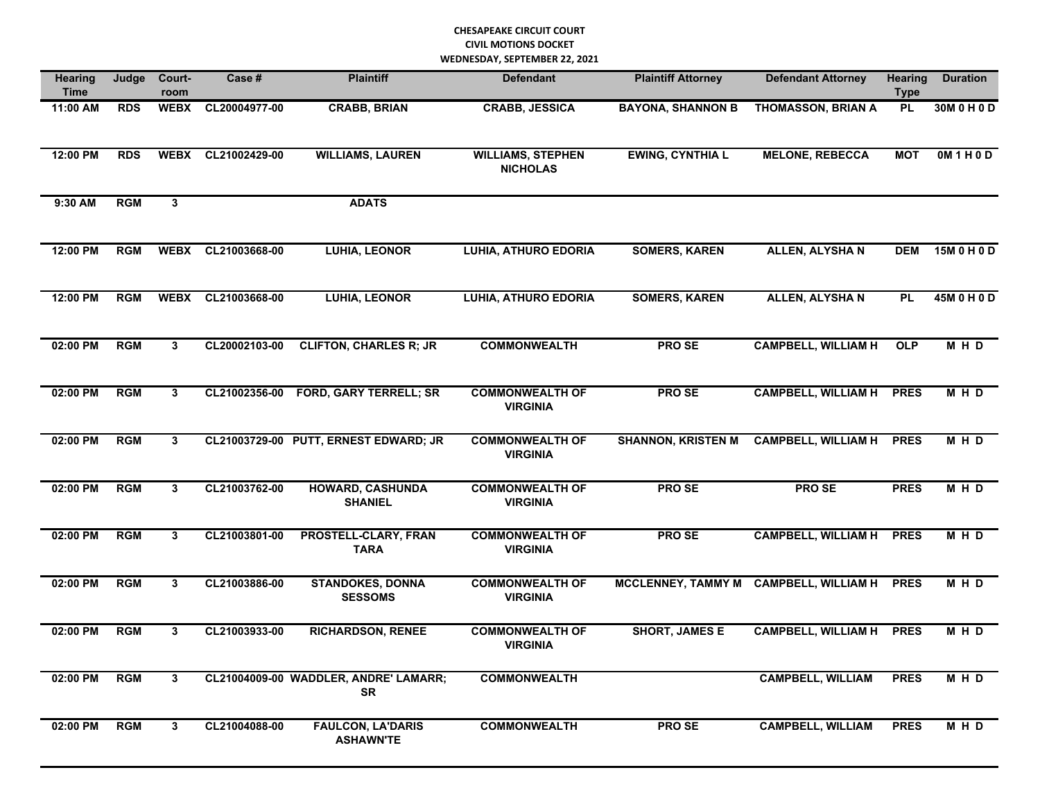## **CHESAPEAKE CIRCUIT COURT CIVIL MOTIONS DOCKET WEDNESDAY, SEPTEMBER 22, 2021**

| <b>Hearing</b><br><b>Time</b> | Judge      | Court-<br>room | Case #        | <b>Plaintiff</b>                                   | <b>Defendant</b>                                                       | <b>Plaintiff Attorney</b>                               |                            | <b>Hearing</b><br><b>Type</b> | <b>Duration</b> |
|-------------------------------|------------|----------------|---------------|----------------------------------------------------|------------------------------------------------------------------------|---------------------------------------------------------|----------------------------|-------------------------------|-----------------|
| 11:00 AM                      | <b>RDS</b> | <b>WEBX</b>    | CL20004977-00 | <b>CRABB, BRIAN</b>                                | <b>CRABB, JESSICA</b><br><b>BAYONA, SHANNON B</b>                      |                                                         | <b>THOMASSON, BRIAN A</b>  | <b>PL</b>                     | 30M 0 H 0 D     |
| 12:00 PM                      | <b>RDS</b> | <b>WEBX</b>    | CL21002429-00 | <b>WILLIAMS, LAUREN</b>                            | <b>EWING, CYNTHIA L</b><br><b>WILLIAMS, STEPHEN</b><br><b>NICHOLAS</b> |                                                         | <b>MELONE, REBECCA</b>     | <b>MOT</b>                    | OM1H0D          |
| 9:30 AM                       | <b>RGM</b> | 3              |               | <b>ADATS</b>                                       |                                                                        |                                                         |                            |                               |                 |
| 12:00 PM                      | <b>RGM</b> | <b>WEBX</b>    | CL21003668-00 | <b>LUHIA, LEONOR</b>                               | <b>LUHIA, ATHURO EDORIA</b>                                            | <b>SOMERS, KAREN</b>                                    | <b>ALLEN, ALYSHAN</b>      | <b>DEM</b>                    | 15M 0 H 0 D     |
| 12:00 PM                      | <b>RGM</b> | <b>WEBX</b>    | CL21003668-00 | <b>LUHIA, LEONOR</b>                               | <b>LUHIA, ATHURO EDORIA</b>                                            | <b>SOMERS, KAREN</b>                                    | <b>ALLEN, ALYSHAN</b>      | <b>PL</b>                     | 45M 0 H 0 D     |
| 02:00 PM                      | <b>RGM</b> | 3              | CL20002103-00 | <b>CLIFTON, CHARLES R; JR</b>                      | <b>COMMONWEALTH</b>                                                    | <b>PROSE</b>                                            | <b>CAMPBELL, WILLIAM H</b> | OLP                           | MHD             |
| 02:00 PM                      | <b>RGM</b> | 3              | CL21002356-00 | <b>FORD, GARY TERRELL; SR</b>                      | <b>COMMONWEALTH OF</b><br><b>VIRGINIA</b>                              | <b>PROSE</b>                                            | <b>CAMPBELL, WILLIAM H</b> | <b>PRES</b>                   | M H D           |
| 02:00 PM                      | <b>RGM</b> | 3              |               | CL21003729-00 PUTT, ERNEST EDWARD; JR              | <b>COMMONWEALTH OF</b><br><b>VIRGINIA</b>                              | <b>SHANNON, KRISTEN M</b>                               | <b>CAMPBELL, WILLIAM H</b> | <b>PRES</b>                   | M H D           |
| 02:00 PM                      | <b>RGM</b> | 3              | CL21003762-00 | <b>HOWARD, CASHUNDA</b><br><b>SHANIEL</b>          | <b>COMMONWEALTH OF</b><br><b>VIRGINIA</b>                              | <b>PROSE</b>                                            | <b>PROSE</b>               | <b>PRES</b>                   | M H D           |
| 02:00 PM                      | <b>RGM</b> | 3              | CL21003801-00 | <b>PROSTELL-CLARY, FRAN</b><br><b>TARA</b>         | <b>COMMONWEALTH OF</b><br><b>VIRGINIA</b>                              | <b>PROSE</b>                                            | <b>CAMPBELL, WILLIAM H</b> | <b>PRES</b>                   | MHD             |
| 02:00 PM                      | <b>RGM</b> | 3              | CL21003886-00 | <b>STANDOKES, DONNA</b><br><b>SESSOMS</b>          | <b>COMMONWEALTH OF</b><br><b>VIRGINIA</b>                              | <b>MCCLENNEY, TAMMY M</b><br><b>CAMPBELL, WILLIAM H</b> |                            | <b>PRES</b>                   | MHD             |
| 02:00 PM                      | <b>RGM</b> | 3              | CL21003933-00 | <b>RICHARDSON, RENEE</b>                           | <b>COMMONWEALTH OF</b><br><b>VIRGINIA</b>                              | <b>SHORT, JAMES E</b>                                   | <b>CAMPBELL, WILLIAM H</b> | <b>PRES</b>                   | M H D           |
| 02:00 PM                      | <b>RGM</b> | $\mathbf{3}$   |               | CL21004009-00 WADDLER, ANDRE' LAMARR;<br><b>SR</b> | <b>COMMONWEALTH</b>                                                    |                                                         | <b>CAMPBELL, WILLIAM</b>   | <b>PRES</b>                   | M H D           |
| 02:00 PM                      | <b>RGM</b> | $\mathbf{3}$   | CL21004088-00 | <b>FAULCON, LA'DARIS</b><br><b>ASHAWN'TE</b>       | <b>COMMONWEALTH</b>                                                    | PRO SE                                                  | <b>CAMPBELL, WILLIAM</b>   | <b>PRES</b>                   | M H D           |